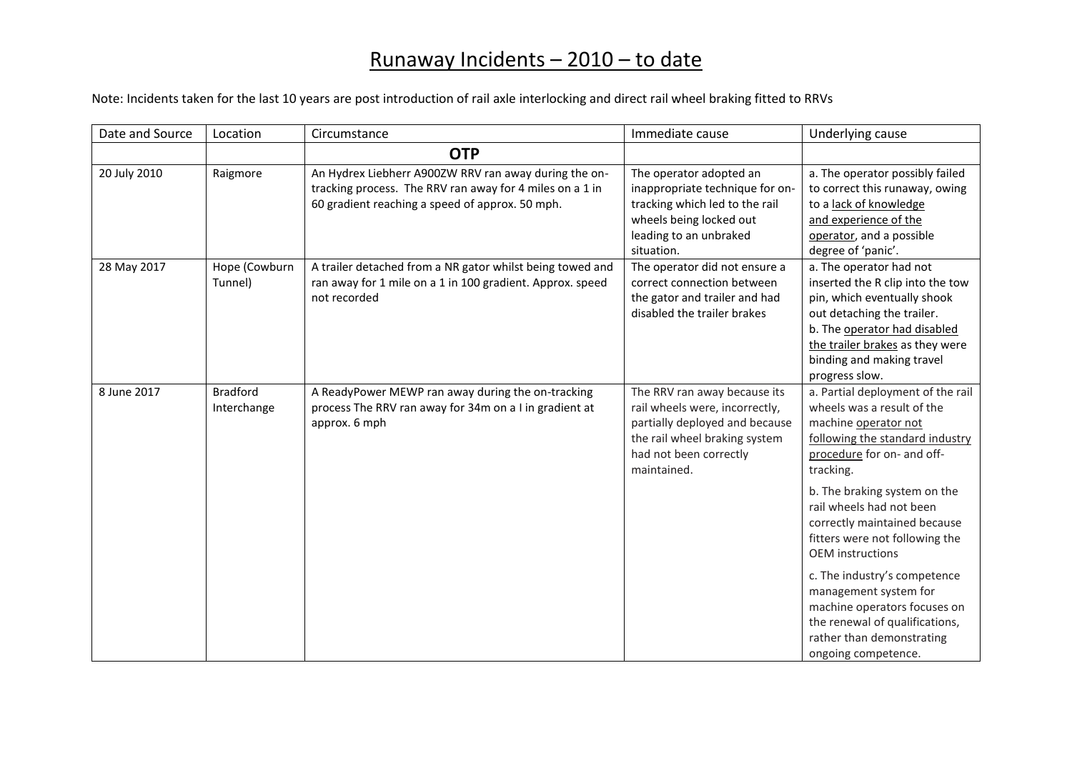| Date and Source | Location                       | Circumstance                                                                                                                                                         | Immediate cause                                                                                                                                                            | Underlying cause                                                                                                                                                                                                                                                                                                                                                                                                                                                                                              |
|-----------------|--------------------------------|----------------------------------------------------------------------------------------------------------------------------------------------------------------------|----------------------------------------------------------------------------------------------------------------------------------------------------------------------------|---------------------------------------------------------------------------------------------------------------------------------------------------------------------------------------------------------------------------------------------------------------------------------------------------------------------------------------------------------------------------------------------------------------------------------------------------------------------------------------------------------------|
|                 |                                | <b>OTP</b>                                                                                                                                                           |                                                                                                                                                                            |                                                                                                                                                                                                                                                                                                                                                                                                                                                                                                               |
| 20 July 2010    | Raigmore                       | An Hydrex Liebherr A900ZW RRV ran away during the on-<br>tracking process. The RRV ran away for 4 miles on a 1 in<br>60 gradient reaching a speed of approx. 50 mph. | The operator adopted an<br>inappropriate technique for on-<br>tracking which led to the rail<br>wheels being locked out<br>leading to an unbraked<br>situation.            | a. The operator possibly failed<br>to correct this runaway, owing<br>to a lack of knowledge<br>and experience of the<br>operator, and a possible<br>degree of 'panic'.                                                                                                                                                                                                                                                                                                                                        |
| 28 May 2017     | Hope (Cowburn<br>Tunnel)       | A trailer detached from a NR gator whilst being towed and<br>ran away for 1 mile on a 1 in 100 gradient. Approx. speed<br>not recorded                               | The operator did not ensure a<br>correct connection between<br>the gator and trailer and had<br>disabled the trailer brakes                                                | a. The operator had not<br>inserted the R clip into the tow<br>pin, which eventually shook<br>out detaching the trailer.<br>b. The operator had disabled<br>the trailer brakes as they were<br>binding and making travel<br>progress slow.                                                                                                                                                                                                                                                                    |
| 8 June 2017     | <b>Bradford</b><br>Interchange | A ReadyPower MEWP ran away during the on-tracking<br>process The RRV ran away for 34m on a I in gradient at<br>approx. 6 mph                                         | The RRV ran away because its<br>rail wheels were, incorrectly,<br>partially deployed and because<br>the rail wheel braking system<br>had not been correctly<br>maintained. | a. Partial deployment of the rail<br>wheels was a result of the<br>machine operator not<br>following the standard industry<br>procedure for on- and off-<br>tracking.<br>b. The braking system on the<br>rail wheels had not been<br>correctly maintained because<br>fitters were not following the<br><b>OEM</b> instructions<br>c. The industry's competence<br>management system for<br>machine operators focuses on<br>the renewal of qualifications,<br>rather than demonstrating<br>ongoing competence. |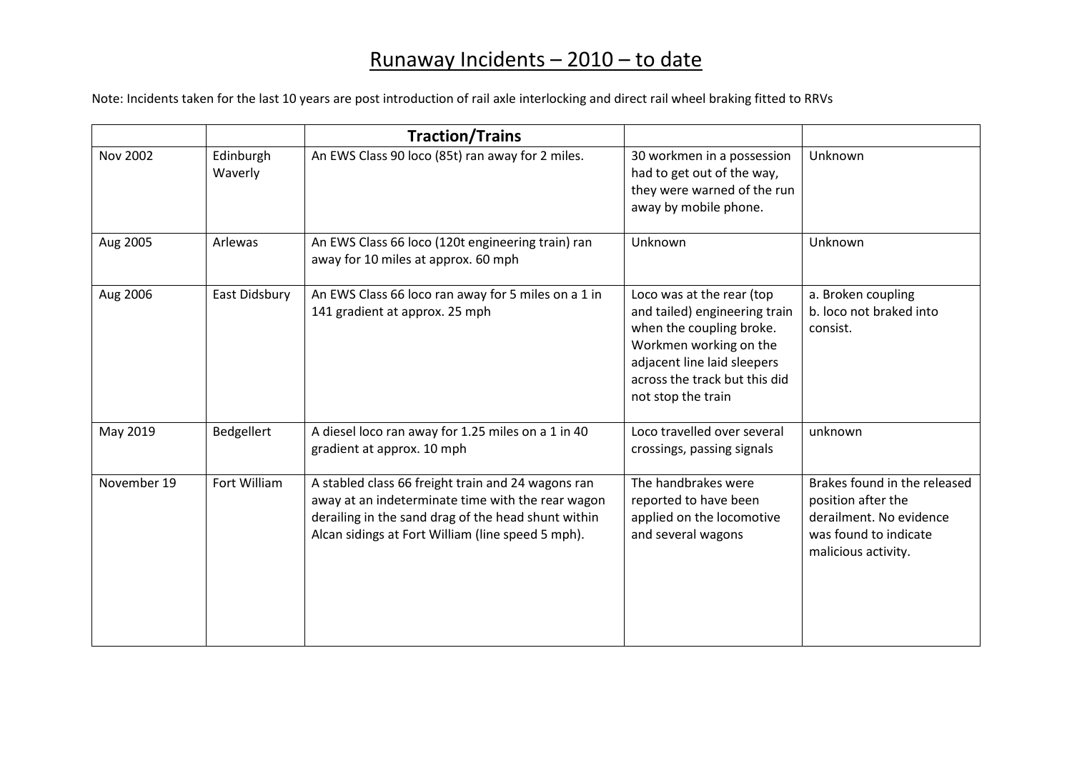|                 |                      | <b>Traction/Trains</b>                                                                                                                                                                                              |                                                                                                                                                                                                        |                                                                                                                               |
|-----------------|----------------------|---------------------------------------------------------------------------------------------------------------------------------------------------------------------------------------------------------------------|--------------------------------------------------------------------------------------------------------------------------------------------------------------------------------------------------------|-------------------------------------------------------------------------------------------------------------------------------|
| <b>Nov 2002</b> | Edinburgh<br>Waverly | An EWS Class 90 loco (85t) ran away for 2 miles.                                                                                                                                                                    | 30 workmen in a possession<br>had to get out of the way,<br>they were warned of the run<br>away by mobile phone.                                                                                       | Unknown                                                                                                                       |
| Aug 2005        | Arlewas              | An EWS Class 66 loco (120t engineering train) ran<br>away for 10 miles at approx. 60 mph                                                                                                                            | Unknown                                                                                                                                                                                                | Unknown                                                                                                                       |
| Aug 2006        | East Didsbury        | An EWS Class 66 loco ran away for 5 miles on a 1 in<br>141 gradient at approx. 25 mph                                                                                                                               | Loco was at the rear (top<br>and tailed) engineering train<br>when the coupling broke.<br>Workmen working on the<br>adjacent line laid sleepers<br>across the track but this did<br>not stop the train | a. Broken coupling<br>b. loco not braked into<br>consist.                                                                     |
| May 2019        | Bedgellert           | A diesel loco ran away for 1.25 miles on a 1 in 40<br>gradient at approx. 10 mph                                                                                                                                    | Loco travelled over several<br>crossings, passing signals                                                                                                                                              | unknown                                                                                                                       |
| November 19     | Fort William         | A stabled class 66 freight train and 24 wagons ran<br>away at an indeterminate time with the rear wagon<br>derailing in the sand drag of the head shunt within<br>Alcan sidings at Fort William (line speed 5 mph). | The handbrakes were<br>reported to have been<br>applied on the locomotive<br>and several wagons                                                                                                        | Brakes found in the released<br>position after the<br>derailment. No evidence<br>was found to indicate<br>malicious activity. |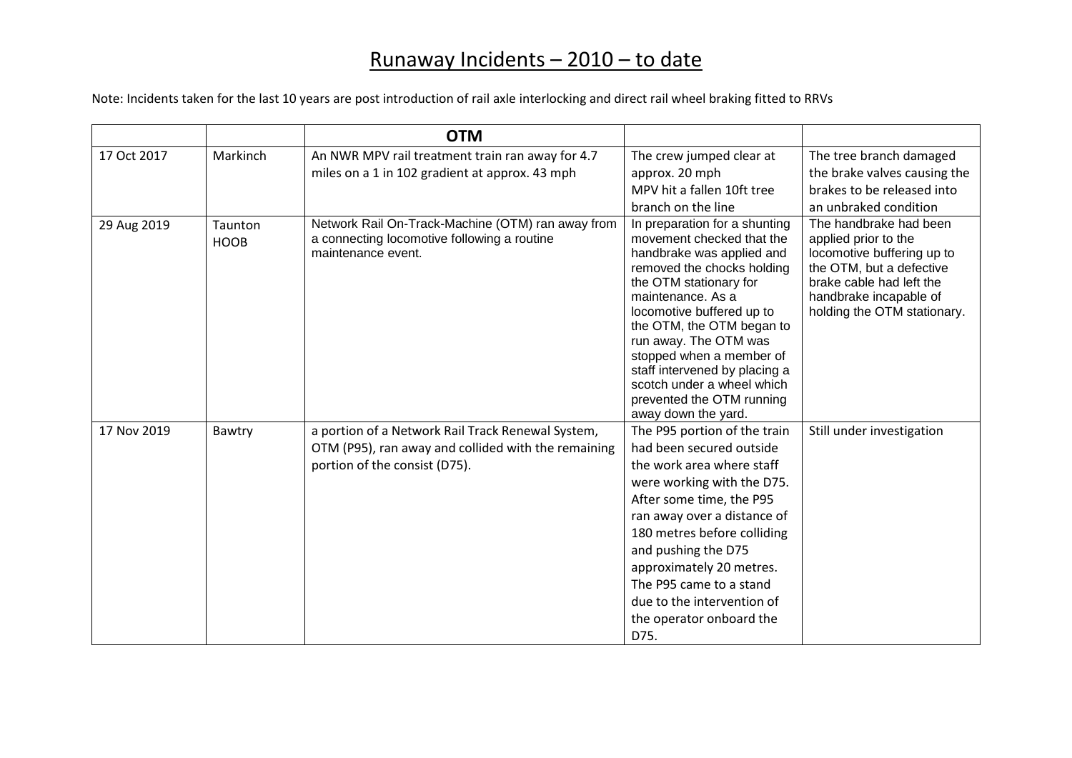|             |                        | <b>OTM</b>                                                                                                                                |                                                                                                                                                                                                                                                                                                                                                                                                        |                                                                                                                                                                                               |
|-------------|------------------------|-------------------------------------------------------------------------------------------------------------------------------------------|--------------------------------------------------------------------------------------------------------------------------------------------------------------------------------------------------------------------------------------------------------------------------------------------------------------------------------------------------------------------------------------------------------|-----------------------------------------------------------------------------------------------------------------------------------------------------------------------------------------------|
| 17 Oct 2017 | Markinch               | An NWR MPV rail treatment train ran away for 4.7<br>miles on a 1 in 102 gradient at approx. 43 mph                                        | The crew jumped clear at<br>approx. 20 mph<br>MPV hit a fallen 10ft tree<br>branch on the line                                                                                                                                                                                                                                                                                                         | The tree branch damaged<br>the brake valves causing the<br>brakes to be released into<br>an unbraked condition                                                                                |
| 29 Aug 2019 | Taunton<br><b>HOOB</b> | Network Rail On-Track-Machine (OTM) ran away from<br>a connecting locomotive following a routine<br>maintenance event.                    | In preparation for a shunting<br>movement checked that the<br>handbrake was applied and<br>removed the chocks holding<br>the OTM stationary for<br>maintenance. As a<br>locomotive buffered up to<br>the OTM, the OTM began to<br>run away. The OTM was<br>stopped when a member of<br>staff intervened by placing a<br>scotch under a wheel which<br>prevented the OTM running<br>away down the yard. | The handbrake had been<br>applied prior to the<br>locomotive buffering up to<br>the OTM, but a defective<br>brake cable had left the<br>handbrake incapable of<br>holding the OTM stationary. |
| 17 Nov 2019 | Bawtry                 | a portion of a Network Rail Track Renewal System,<br>OTM (P95), ran away and collided with the remaining<br>portion of the consist (D75). | The P95 portion of the train<br>had been secured outside<br>the work area where staff<br>were working with the D75.<br>After some time, the P95<br>ran away over a distance of<br>180 metres before colliding<br>and pushing the D75<br>approximately 20 metres.<br>The P95 came to a stand<br>due to the intervention of<br>the operator onboard the<br>D75.                                          | Still under investigation                                                                                                                                                                     |